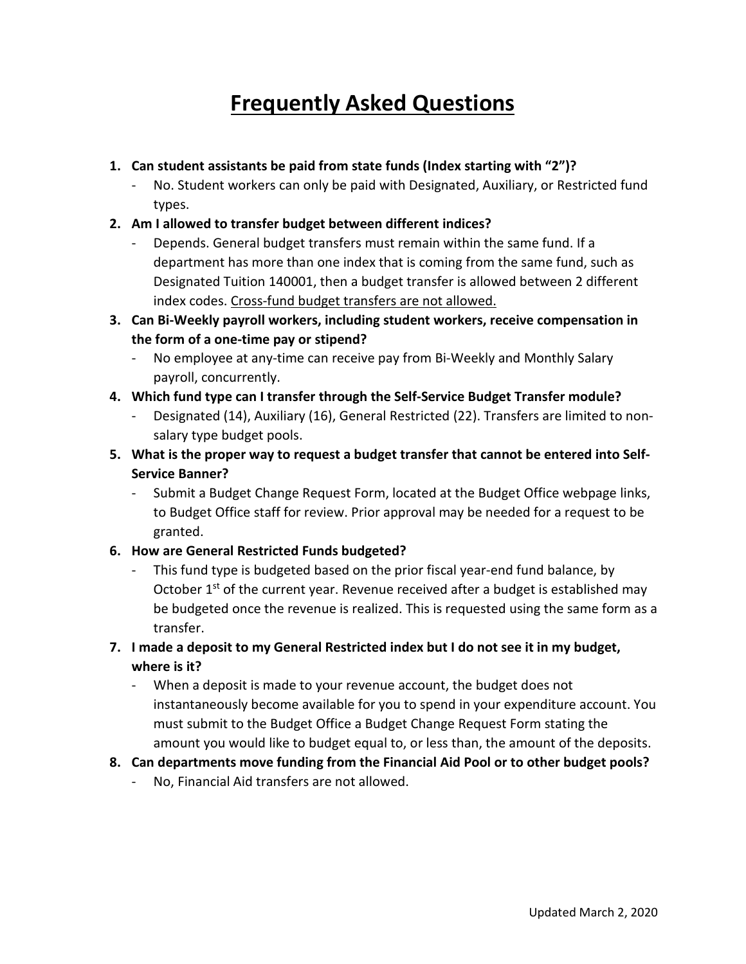# **Frequently Asked Questions**

# **1. Can student assistants be paid from state funds (Index starting with "2")?**

- No. Student workers can only be paid with Designated, Auxiliary, or Restricted fund types.

# **2. Am I allowed to transfer budget between different indices?**

- Depends. General budget transfers must remain within the same fund. If a department has more than one index that is coming from the same fund, such as Designated Tuition 140001, then a budget transfer is allowed between 2 different index codes. Cross-fund budget transfers are not allowed.
- **3. Can Bi-Weekly payroll workers, including student workers, receive compensation in the form of a one-time pay or stipend?**
	- No employee at any-time can receive pay from Bi-Weekly and Monthly Salary payroll, concurrently.

# **4. Which fund type can I transfer through the Self-Service Budget Transfer module?**

- Designated (14), Auxiliary (16), General Restricted (22). Transfers are limited to nonsalary type budget pools.
- **5. What is the proper way to request a budget transfer that cannot be entered into Self-Service Banner?**
	- Submit a Budget Change Request Form, located at the Budget Office webpage links, to Budget Office staff for review. Prior approval may be needed for a request to be granted.

# **6. How are General Restricted Funds budgeted?**

- This fund type is budgeted based on the prior fiscal year-end fund balance, by October  $1^{st}$  of the current year. Revenue received after a budget is established may be budgeted once the revenue is realized. This is requested using the same form as a transfer.
- **7. I made a deposit to my General Restricted index but I do not see it in my budget, where is it?**
	- When a deposit is made to your revenue account, the budget does not instantaneously become available for you to spend in your expenditure account. You must submit to the Budget Office a Budget Change Request Form stating the amount you would like to budget equal to, or less than, the amount of the deposits.

# **8. Can departments move funding from the Financial Aid Pool or to other budget pools?**

- No, Financial Aid transfers are not allowed.